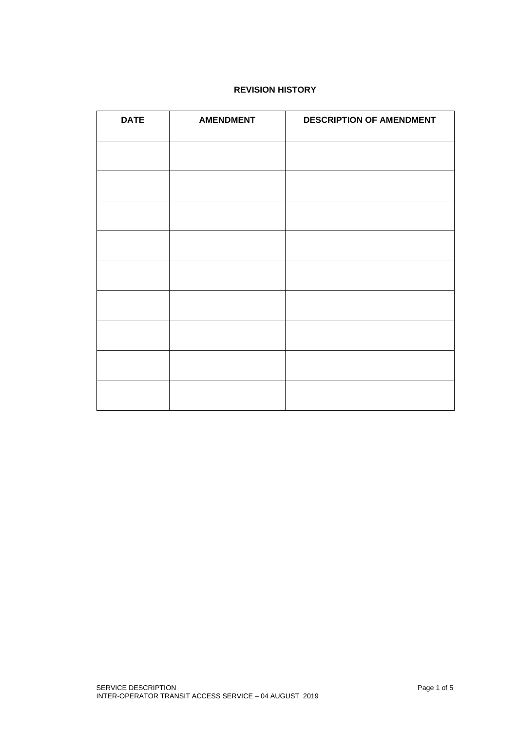# **REVISION HISTORY**

| <b>DATE</b> | <b>AMENDMENT</b> | <b>DESCRIPTION OF AMENDMENT</b> |
|-------------|------------------|---------------------------------|
|             |                  |                                 |
|             |                  |                                 |
|             |                  |                                 |
|             |                  |                                 |
|             |                  |                                 |
|             |                  |                                 |
|             |                  |                                 |
|             |                  |                                 |
|             |                  |                                 |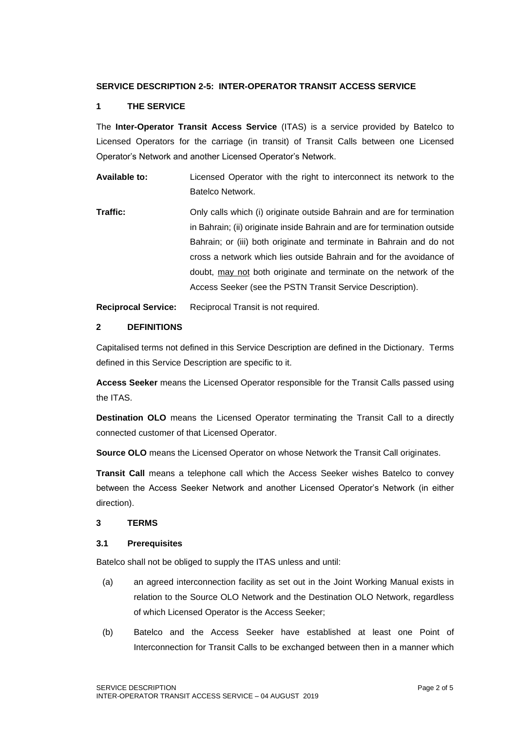## **SERVICE DESCRIPTION 2-5: INTER-OPERATOR TRANSIT ACCESS SERVICE**

## **1 THE SERVICE**

The **Inter-Operator Transit Access Service** (ITAS) is a service provided by Batelco to Licensed Operators for the carriage (in transit) of Transit Calls between one Licensed Operator's Network and another Licensed Operator's Network.

**Available to:** Licensed Operator with the right to interconnect its network to the Batelco Network.

**Traffic: Only calls which (i) originate outside Bahrain and are for termination** in Bahrain; (ii) originate inside Bahrain and are for termination outside Bahrain; or (iii) both originate and terminate in Bahrain and do not cross a network which lies outside Bahrain and for the avoidance of doubt, may not both originate and terminate on the network of the Access Seeker (see the PSTN Transit Service Description).

**Reciprocal Service:** Reciprocal Transit is not required.

## **2 DEFINITIONS**

Capitalised terms not defined in this Service Description are defined in the Dictionary. Terms defined in this Service Description are specific to it.

**Access Seeker** means the Licensed Operator responsible for the Transit Calls passed using the ITAS.

**Destination OLO** means the Licensed Operator terminating the Transit Call to a directly connected customer of that Licensed Operator.

**Source OLO** means the Licensed Operator on whose Network the Transit Call originates.

**Transit Call** means a telephone call which the Access Seeker wishes Batelco to convey between the Access Seeker Network and another Licensed Operator's Network (in either direction).

## **3 TERMS**

## **3.1 Prerequisites**

Batelco shall not be obliged to supply the ITAS unless and until:

- (a) an agreed interconnection facility as set out in the Joint Working Manual exists in relation to the Source OLO Network and the Destination OLO Network, regardless of which Licensed Operator is the Access Seeker;
- (b) Batelco and the Access Seeker have established at least one Point of Interconnection for Transit Calls to be exchanged between then in a manner which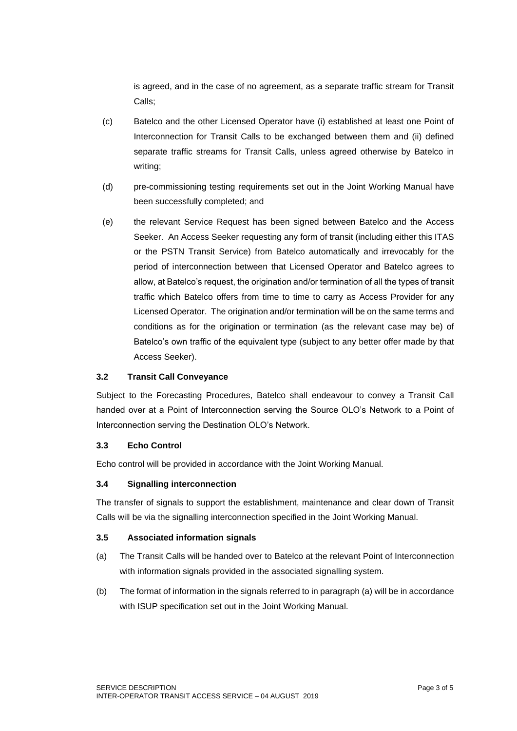is agreed, and in the case of no agreement, as a separate traffic stream for Transit Calls;

- (c) Batelco and the other Licensed Operator have (i) established at least one Point of Interconnection for Transit Calls to be exchanged between them and (ii) defined separate traffic streams for Transit Calls, unless agreed otherwise by Batelco in writing;
- (d) pre-commissioning testing requirements set out in the Joint Working Manual have been successfully completed; and
- (e) the relevant Service Request has been signed between Batelco and the Access Seeker. An Access Seeker requesting any form of transit (including either this ITAS or the PSTN Transit Service) from Batelco automatically and irrevocably for the period of interconnection between that Licensed Operator and Batelco agrees to allow, at Batelco's request, the origination and/or termination of all the types of transit traffic which Batelco offers from time to time to carry as Access Provider for any Licensed Operator. The origination and/or termination will be on the same terms and conditions as for the origination or termination (as the relevant case may be) of Batelco's own traffic of the equivalent type (subject to any better offer made by that Access Seeker).

## **3.2 Transit Call Conveyance**

Subject to the Forecasting Procedures, Batelco shall endeavour to convey a Transit Call handed over at a Point of Interconnection serving the Source OLO's Network to a Point of Interconnection serving the Destination OLO's Network.

## **3.3 Echo Control**

Echo control will be provided in accordance with the Joint Working Manual.

## **3.4 Signalling interconnection**

The transfer of signals to support the establishment, maintenance and clear down of Transit Calls will be via the signalling interconnection specified in the Joint Working Manual.

#### **3.5 Associated information signals**

- (a) The Transit Calls will be handed over to Batelco at the relevant Point of Interconnection with information signals provided in the associated signalling system.
- (b) The format of information in the signals referred to in paragraph (a) will be in accordance with ISUP specification set out in the Joint Working Manual.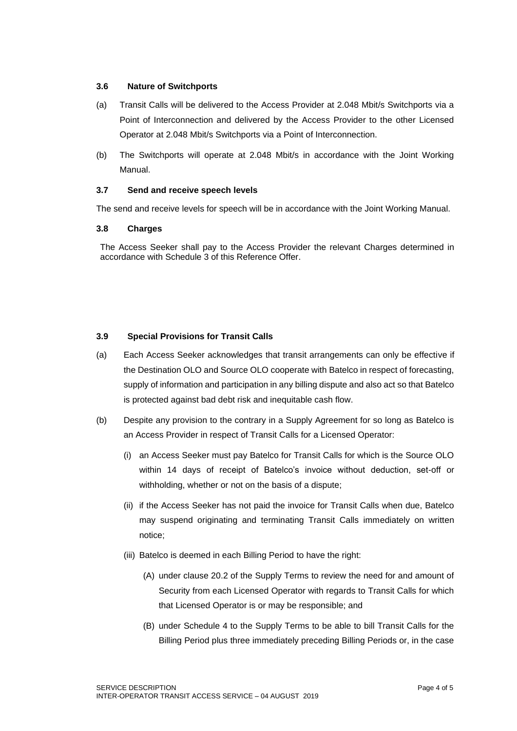#### **3.6 Nature of Switchports**

- (a) Transit Calls will be delivered to the Access Provider at 2.048 Mbit/s Switchports via a Point of Interconnection and delivered by the Access Provider to the other Licensed Operator at 2.048 Mbit/s Switchports via a Point of Interconnection.
- (b) The Switchports will operate at 2.048 Mbit/s in accordance with the Joint Working Manual.

#### **3.7 Send and receive speech levels**

The send and receive levels for speech will be in accordance with the Joint Working Manual.

#### **3.8 Charges**

The Access Seeker shall pay to the Access Provider the relevant Charges determined in accordance with Schedule 3 of this Reference Offer.

#### **3.9 Special Provisions for Transit Calls**

- (a) Each Access Seeker acknowledges that transit arrangements can only be effective if the Destination OLO and Source OLO cooperate with Batelco in respect of forecasting, supply of information and participation in any billing dispute and also act so that Batelco is protected against bad debt risk and inequitable cash flow.
- (b) Despite any provision to the contrary in a Supply Agreement for so long as Batelco is an Access Provider in respect of Transit Calls for a Licensed Operator:
	- (i) an Access Seeker must pay Batelco for Transit Calls for which is the Source OLO within 14 days of receipt of Batelco's invoice without deduction, set-off or withholding, whether or not on the basis of a dispute;
	- (ii) if the Access Seeker has not paid the invoice for Transit Calls when due, Batelco may suspend originating and terminating Transit Calls immediately on written notice;
	- (iii) Batelco is deemed in each Billing Period to have the right:
		- (A) under clause 20.2 of the Supply Terms to review the need for and amount of Security from each Licensed Operator with regards to Transit Calls for which that Licensed Operator is or may be responsible; and
		- (B) under Schedule 4 to the Supply Terms to be able to bill Transit Calls for the Billing Period plus three immediately preceding Billing Periods or, in the case